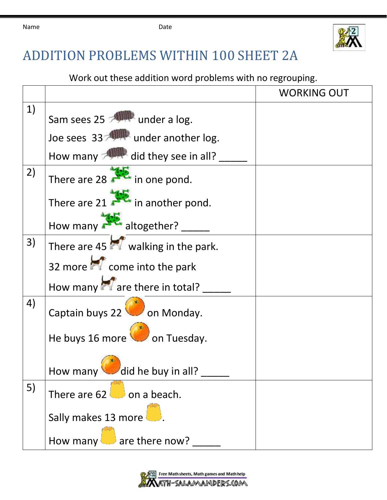

## ADDITION PROBLEMS WITHIN 100 SHEET 2A

Work out these addition word problems with no regrouping.

|    |                                             | <b>WORKING OUT</b> |
|----|---------------------------------------------|--------------------|
| 1) | Sam sees 25 <b>Allemand under a log.</b>    |                    |
|    | Joe sees 33 <b>ANNIF</b> under another log. |                    |
|    | How many <b>ANNUM</b> did they see in all?  |                    |
| 2) | There are 28 $\frac{1}{2}$ in one pond.     |                    |
|    | There are $21$ <b>A</b> in another pond.    |                    |
|    | How many altogether?                        |                    |
| 3) | There are 45 $\sim$ walking in the park.    |                    |
|    | 32 more <b>of</b> come into the park        |                    |
|    | How many are there in total?                |                    |
| 4) | Captain buys 22 on Monday.                  |                    |
|    | He buys 16 more on Tuesday.                 |                    |
|    | How many did he buy in all?                 |                    |
| 5) | There are $62$ on a beach.                  |                    |
|    | Sally makes 13 more                         |                    |
|    | $\Box$ are there now?<br>How many           |                    |